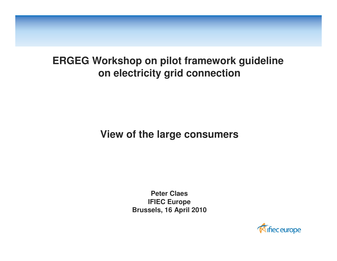# **ERGEG Workshop on pilot framework guideline on electricity grid connection**

**View of the large consumers**

**Peter Claes IFIEC EuropeBrussels, 16 April 2010**

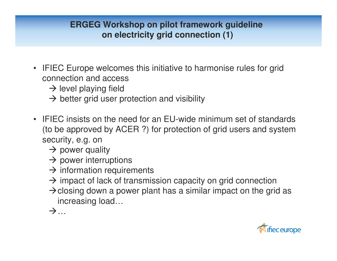### **ERGEG Workshop on pilot framework guideline on electricity grid connection (1)**

- IFIEC Europe welcomes this initiative to harmonise rules for grid connection and access
	- $\rightarrow$  level playing field<br> $\rightarrow$  better arid user pl
	- $\rightarrow$  better grid user protection and visibility
- IFIEC insists on the need for an EU-wide minimum set of standards (to be approved by ACER ?) for protection of grid users and system security, e.g. on
	- $\Rightarrow$  power quality<br> $\Rightarrow$  power interru
	- $\rightarrow$  power interruptions<br> $\rightarrow$  information require
	- $\rightarrow$  information requirements<br> $\rightarrow$  impact of lack of transmis
	- $\rightarrow$  impact of lack of transmission capacity on grid connection<br> $\rightarrow$  closing down a nower plant has a similar impact on the grid
	- $\rightarrow$  closing down a power plant has a similar impact on the grid as increasing load…

…

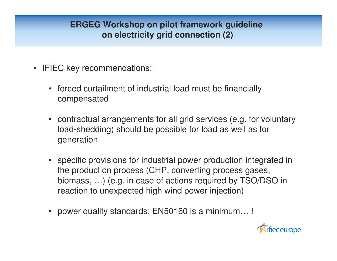### **ERGEG Workshop on pilot framework guideline on electricity grid connection (2)**

- IFIEC key recommendations:
	- forced curtailment of industrial load must be financially compensated
	- contractual arrangements for all grid services (e.g. for voluntary load-shedding) should be possible for load as well as for generation
	- specific provisions for industrial power production integrated in the production process (CHP, converting process gases, biomass, …) (e.g. in case of actions required by TSO/DSO in reaction to unexpected high wind power injection)
	- power quality standards: EN50160 is a minimum… !

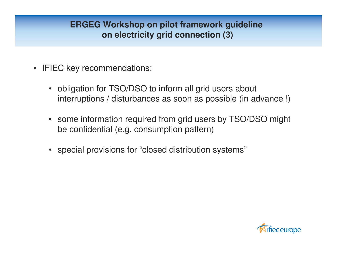#### **ERGEG Workshop on pilot framework guideline on electricity grid connection (3)**

- IFIEC key recommendations:
	- obligation for TSO/DSO to inform all grid users about interruptions / disturbances as soon as possible (in advance !)
	- some information required from grid users by TSO/DSO might be confidential (e.g. consumption pattern)
	- special provisions for "closed distribution systems"